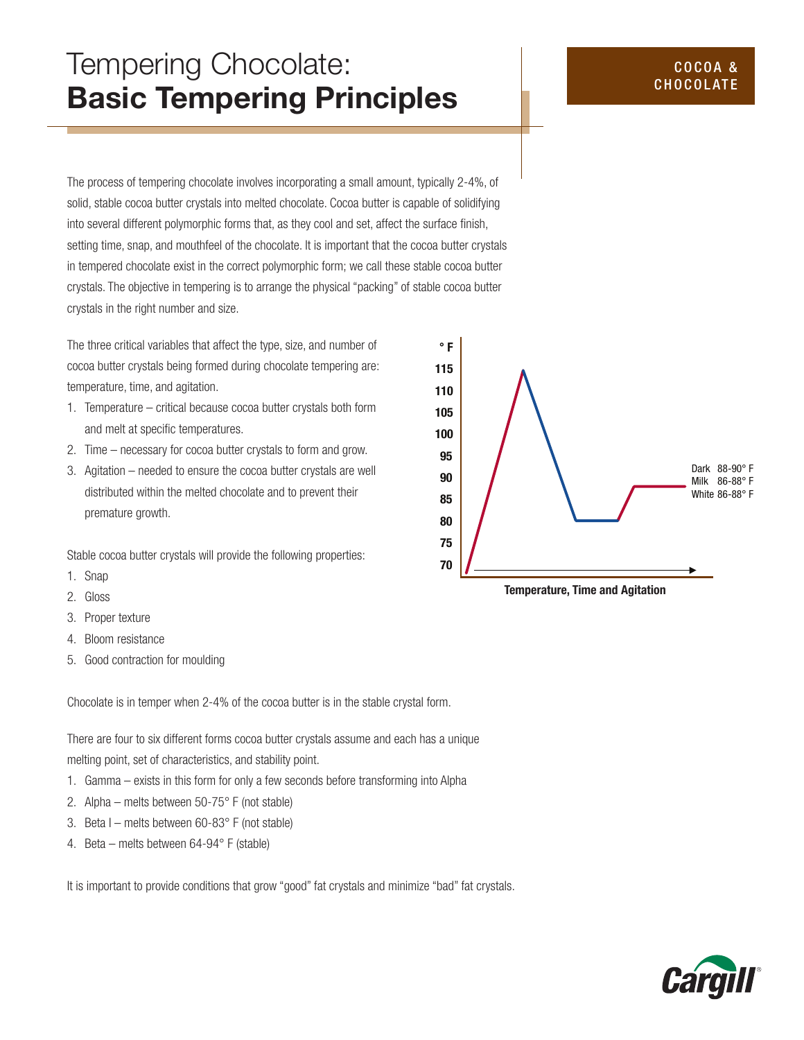# Tempering Chocolate: Basic Tempering Principles

The process of tempering chocolate involves incorporating a small amount, typically 2-4%, of solid, stable cocoa butter crystals into melted chocolate. Cocoa butter is capable of solidifying into several different polymorphic forms that, as they cool and set, affect the surface finish, setting time, snap, and mouthfeel of the chocolate. It is important that the cocoa butter crystals in tempered chocolate exist in the correct polymorphic form; we call these stable cocoa butter crystals. The objective in tempering is to arrange the physical "packing" of stable cocoa butter crystals in the right number and size.

The three critical variables that affect the type, size, and number of cocoa butter crystals being formed during chocolate tempering are: temperature, time, and agitation.

- 1. Temperature critical because cocoa butter crystals both form and melt at specific temperatures.
- 2. Time necessary for cocoa butter crystals to form and grow.
- 3. Agitation needed to ensure the cocoa butter crystals are well distributed within the melted chocolate and to prevent their premature growth.

Stable cocoa butter crystals will provide the following properties:

- 1. Snap
- 2. Gloss
- 3. Proper texture
- 4. Bloom resistance
- 5. Good contraction for moulding

Chocolate is in temper when 2-4% of the cocoa butter is in the stable crystal form.

There are four to six different forms cocoa butter crystals assume and each has a unique melting point, set of characteristics, and stability point.

- 1. Gamma exists in this form for only a few seconds before transforming into Alpha
- 2. Alpha melts between 50-75° F (not stable)
- 3. Beta I melts between 60-83 $^{\circ}$  F (not stable)
- 4. Beta melts between 64-94° F (stable)

It is important to provide conditions that grow "good" fat crystals and minimize "bad" fat crystals.